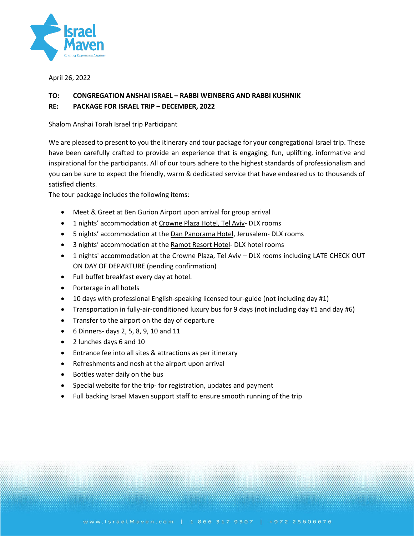

April 26, 2022

# **TO: CONGREGATION ANSHAI ISRAEL – RABBI WEINBERG AND RABBI KUSHNIK**

## **RE: PACKAGE FOR ISRAEL TRIP – DECEMBER, 2022**

Shalom Anshai Torah Israel trip Participant

We are pleased to present to you the itinerary and tour package for your congregational Israel trip. These have been carefully crafted to provide an experience that is engaging, fun, uplifting, informative and inspirational for the participants. All of our tours adhere to the highest standards of professionalism and you can be sure to expect the friendly, warm & dedicated service that have endeared us to thousands of satisfied clients.

The tour package includes the following items:

- Meet & Greet at Ben Gurion Airport upon arrival for group arrival
- 1 nights' accommodation at Crowne Plaza Hotel, Tel Aviv- DLX rooms
- 5 nights' accommodation at the Dan Panorama Hotel, Jerusalem- DLX rooms
- 3 nights' accommodation at the Ramot Resort Hotel- DLX hotel rooms
- 1 nights' accommodation at the Crowne Plaza, Tel Aviv DLX rooms including LATE CHECK OUT ON DAY OF DEPARTURE (pending confirmation)
- Full buffet breakfast every day at hotel.
- Porterage in all hotels
- 10 days with professional English-speaking licensed tour-guide (not including day #1)
- Transportation in fully-air-conditioned luxury bus for 9 days (not including day #1 and day #6)
- Transfer to the airport on the day of departure
- 6 Dinners- days 2, 5, 8, 9, 10 and 11
- 2 lunches days 6 and 10
- Entrance fee into all sites & attractions as per itinerary
- Refreshments and nosh at the airport upon arrival
- Bottles water daily on the bus
- Special website for the trip- for registration, updates and payment
- Full backing Israel Maven support staff to ensure smooth running of the trip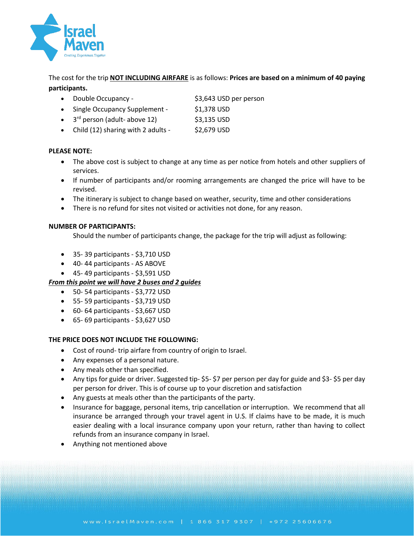

The cost for the trip **NOT INCLUDING AIRFARE** is as follows: **Prices are based on a minimum of 40 paying participants.**

- Double Occupancy \$3,643 USD per person
- Single Occupancy Supplement \$1,378 USD
- $\bullet$  3<sup>rd</sup> person (adult- above 12) \$3,135 USD
- Child  $(12)$  sharing with 2 adults  $$2,679$  USD

### **PLEASE NOTE:**

- The above cost is subject to change at any time as per notice from hotels and other suppliers of services.
- If number of participants and/or rooming arrangements are changed the price will have to be revised.
- The itinerary is subject to change based on weather, security, time and other considerations
- There is no refund for sites not visited or activities not done, for any reason.

### **NUMBER OF PARTICIPANTS:**

Should the number of participants change, the package for the trip will adjust as following:

- 35- 39 participants \$3,710 USD
- 40- 44 participants AS ABOVE
- 45- 49 participants \$3,591 USD

## *From this point we will have 2 buses and 2 guides*

- 50- 54 participants \$3,772 USD
- 55- 59 participants \$3,719 USD
- 60- 64 participants \$3,667 USD
- 65- 69 participants \$3,627 USD

### **THE PRICE DOES NOT INCLUDE THE FOLLOWING:**

- Cost of round- trip airfare from country of origin to Israel.
- Any expenses of a personal nature.
- Any meals other than specified.
- Any tips for guide or driver. Suggested tip- \$5- \$7 per person per day for guide and \$3- \$5 per day per person for driver. This is of course up to your discretion and satisfaction
- Any guests at meals other than the participants of the party.
- Insurance for baggage, personal items, trip cancellation or interruption. We recommend that all insurance be arranged through your travel agent in U.S. If claims have to be made, it is much easier dealing with a local insurance company upon your return, rather than having to collect refunds from an insurance company in Israel.
- Anything not mentioned above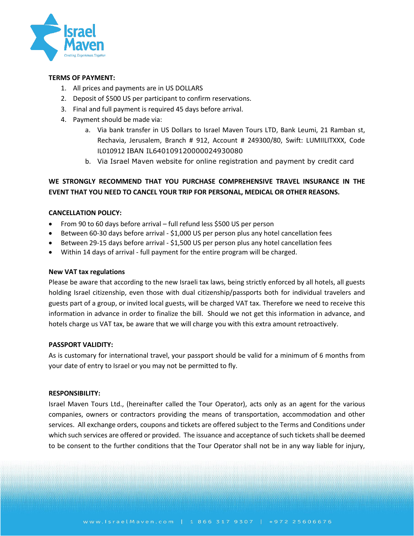

#### **TERMS OF PAYMENT:**

- 1. All prices and payments are in US DOLLARS
- 2. Deposit of \$500 US per participant to confirm reservations.
- 3. Final and full payment is required 45 days before arrival.
- 4. Payment should be made via:
	- a. Via bank transfer in US Dollars to Israel Maven Tours LTD, Bank Leumi, 21 Ramban st, Rechavia, Jerusalem, Branch # 912, Account # 249300/80, Swift: LUMIILITXXX, Code IL010912 IBAN IL640109120000024930080
	- b. Via Israel Maven website for online registration and payment by credit card

# **WE STRONGLY RECOMMEND THAT YOU PURCHASE COMPREHENSIVE TRAVEL INSURANCE IN THE EVENT THAT YOU NEED TO CANCEL YOUR TRIP FOR PERSONAL, MEDICAL OR OTHER REASONS.**

### **CANCELLATION POLICY:**

- From 90 to 60 days before arrival full refund less \$500 US per person
- Between 60-30 days before arrival \$1,000 US per person plus any hotel cancellation fees
- Between 29-15 days before arrival \$1,500 US per person plus any hotel cancellation fees
- Within 14 days of arrival full payment for the entire program will be charged.

#### **New VAT tax regulations**

Please be aware that according to the new Israeli tax laws, being strictly enforced by all hotels, all guests holding Israel citizenship, even those with dual citizenship/passports both for individual travelers and guests part of a group, or invited local guests, will be charged VAT tax. Therefore we need to receive this information in advance in order to finalize the bill. Should we not get this information in advance, and hotels charge us VAT tax, be aware that we will charge you with this extra amount retroactively.

#### **PASSPORT VALIDITY:**

As is customary for international travel, your passport should be valid for a minimum of 6 months from your date of entry to Israel or you may not be permitted to fly.

#### **RESPONSIBILITY:**

Israel Maven Tours Ltd., (hereinafter called the Tour Operator), acts only as an agent for the various companies, owners or contractors providing the means of transportation, accommodation and other services. All exchange orders, coupons and tickets are offered subject to the Terms and Conditions under which such services are offered or provided. The issuance and acceptance of such tickets shall be deemed to be consent to the further conditions that the Tour Operator shall not be in any way liable for injury,